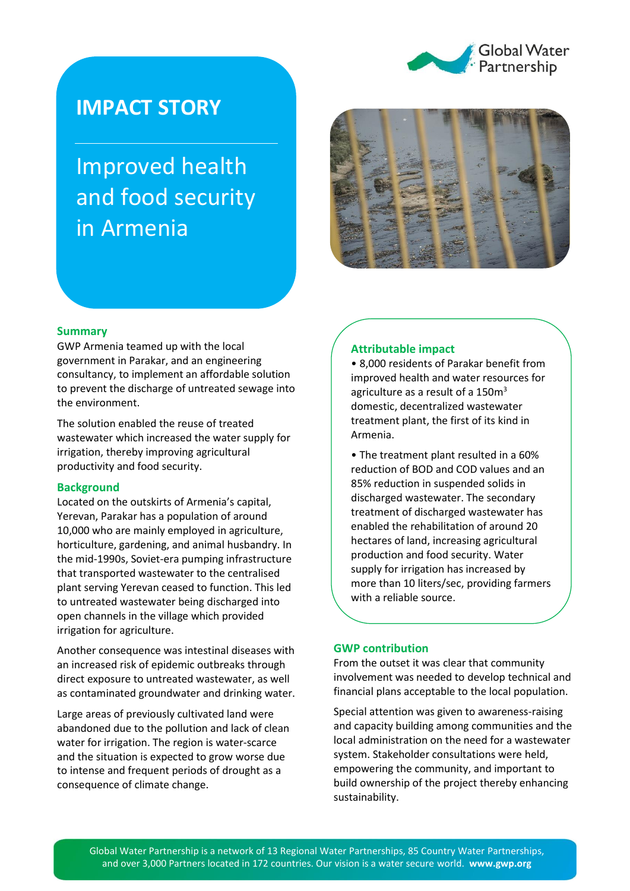

## **IMPACT STORY**

# Improved health and food security in Armenia



### **Summary**

GWP Armenia teamed up with the local government in Parakar, and an engineering consultancy, to implement an affordable solution to prevent the discharge of untreated sewage into the environment.

The solution enabled the reuse of treated wastewater which increased the water supply for irrigation, thereby improving agricultural productivity and food security.

### **Background**

Located on the outskirts of Armenia's capital, Yerevan, Parakar has a population of around 10,000 who are mainly employed in agriculture, horticulture, gardening, and animal husbandry. In the mid-1990s, Soviet-era pumping infrastructure that transported wastewater to the centralised plant serving Yerevan ceased to function. This led to untreated wastewater being discharged into open channels in the village which provided irrigation for agriculture.

Another consequence was intestinal diseases with an increased risk of epidemic outbreaks through direct exposure to untreated wastewater, as well as contaminated groundwater and drinking water.

Large areas of previously cultivated land were abandoned due to the pollution and lack of clean water for irrigation. The region is water-scarce and the situation is expected to grow worse due to intense and frequent periods of drought as a consequence of climate change.

#### **Attributable impact**

• 8,000 residents of Parakar benefit from improved health and water resources for agriculture as a result of a  $150m<sup>3</sup>$ domestic, decentralized wastewater treatment plant, the first of its kind in Armenia.

• The treatment plant resulted in a 60% reduction of BOD and COD values and an 85% reduction in suspended solids in discharged wastewater. The secondary treatment of discharged wastewater has enabled the rehabilitation of around 20 hectares of land, increasing agricultural production and food security. Water supply for irrigation has increased by more than 10 liters/sec, providing farmers with a reliable source.

#### **GWP contribution**

From the outset it was clear that community involvement was needed to develop technical and financial plans acceptable to the local population.

Special attention was given to awareness-raising and capacity building among communities and the local administration on the need for a wastewater system. Stakeholder consultations were held, empowering the community, and important to build ownership of the project thereby enhancing sustainability.